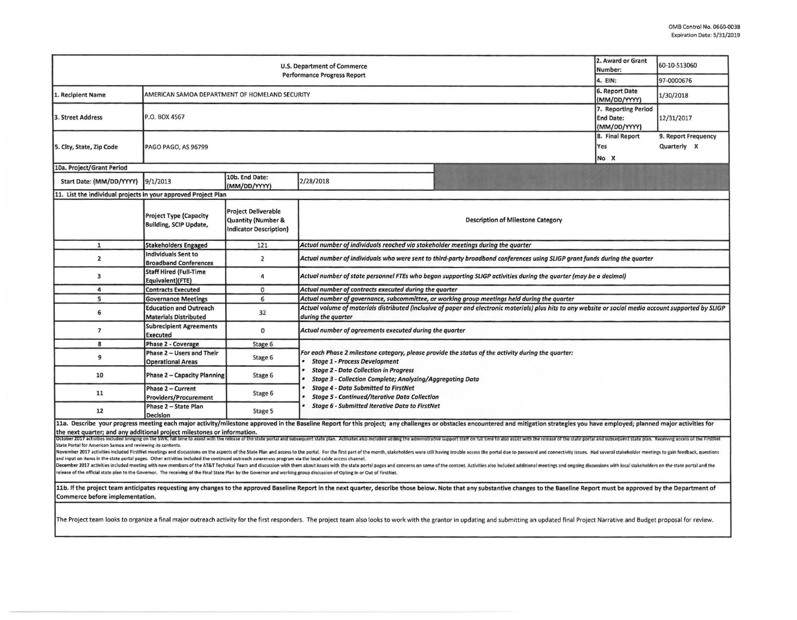| 2. Award or Grant<br>60-10-S13060<br><b>U.S. Department of Commerce</b><br>Number:<br><b>Performance Progress Report</b><br>4. EIN:<br>97-0000676<br>6. Report Date<br>AMERICAN SAMOA DEPARTMENT OF HOMELAND SECURITY<br><b>L. Recipient Name</b><br>1/30/2018<br>(MM/DD/YYYY)<br>7. Reporting Period<br>P.O. BOX 4567<br>3. Street Address<br><b>End Date:</b><br>12/31/2017<br>(MM/DD/YYYY)<br>8. Final Report<br>9. Report Frequency<br>Quarterly X<br>Yes<br>5. City, State, Zip Code<br>PAGO PAGO, AS 96799<br>No X<br>10a. Project/Grant Period<br>10b. End Date:<br>2/28/2018<br>9/1/2013<br>Start Date: (MM/DD/YYYY)<br>(MM/DD/YYYY)<br>11. List the individual projects in your approved Project Plan<br><b>Project Deliverable</b><br><b>Project Type (Capacity</b><br><b>Quantity (Number &amp;</b><br><b>Description of Milestone Category</b><br>Building, SCIP Update, |                                                               |                               |                                                                                                                            |                                                                                                                                                                                                                                                                                                                                                                                                                                                                                                                                                                                                                                                                                                    |  |  |
|--------------------------------------------------------------------------------------------------------------------------------------------------------------------------------------------------------------------------------------------------------------------------------------------------------------------------------------------------------------------------------------------------------------------------------------------------------------------------------------------------------------------------------------------------------------------------------------------------------------------------------------------------------------------------------------------------------------------------------------------------------------------------------------------------------------------------------------------------------------------------------------|---------------------------------------------------------------|-------------------------------|----------------------------------------------------------------------------------------------------------------------------|----------------------------------------------------------------------------------------------------------------------------------------------------------------------------------------------------------------------------------------------------------------------------------------------------------------------------------------------------------------------------------------------------------------------------------------------------------------------------------------------------------------------------------------------------------------------------------------------------------------------------------------------------------------------------------------------------|--|--|
|                                                                                                                                                                                                                                                                                                                                                                                                                                                                                                                                                                                                                                                                                                                                                                                                                                                                                      |                                                               |                               |                                                                                                                            |                                                                                                                                                                                                                                                                                                                                                                                                                                                                                                                                                                                                                                                                                                    |  |  |
|                                                                                                                                                                                                                                                                                                                                                                                                                                                                                                                                                                                                                                                                                                                                                                                                                                                                                      |                                                               |                               |                                                                                                                            |                                                                                                                                                                                                                                                                                                                                                                                                                                                                                                                                                                                                                                                                                                    |  |  |
|                                                                                                                                                                                                                                                                                                                                                                                                                                                                                                                                                                                                                                                                                                                                                                                                                                                                                      |                                                               |                               |                                                                                                                            |                                                                                                                                                                                                                                                                                                                                                                                                                                                                                                                                                                                                                                                                                                    |  |  |
|                                                                                                                                                                                                                                                                                                                                                                                                                                                                                                                                                                                                                                                                                                                                                                                                                                                                                      |                                                               |                               |                                                                                                                            |                                                                                                                                                                                                                                                                                                                                                                                                                                                                                                                                                                                                                                                                                                    |  |  |
|                                                                                                                                                                                                                                                                                                                                                                                                                                                                                                                                                                                                                                                                                                                                                                                                                                                                                      |                                                               |                               |                                                                                                                            |                                                                                                                                                                                                                                                                                                                                                                                                                                                                                                                                                                                                                                                                                                    |  |  |
|                                                                                                                                                                                                                                                                                                                                                                                                                                                                                                                                                                                                                                                                                                                                                                                                                                                                                      |                                                               |                               |                                                                                                                            |                                                                                                                                                                                                                                                                                                                                                                                                                                                                                                                                                                                                                                                                                                    |  |  |
|                                                                                                                                                                                                                                                                                                                                                                                                                                                                                                                                                                                                                                                                                                                                                                                                                                                                                      |                                                               |                               |                                                                                                                            |                                                                                                                                                                                                                                                                                                                                                                                                                                                                                                                                                                                                                                                                                                    |  |  |
|                                                                                                                                                                                                                                                                                                                                                                                                                                                                                                                                                                                                                                                                                                                                                                                                                                                                                      |                                                               | <b>Indicator Description)</b> |                                                                                                                            |                                                                                                                                                                                                                                                                                                                                                                                                                                                                                                                                                                                                                                                                                                    |  |  |
| $\mathbf{1}$                                                                                                                                                                                                                                                                                                                                                                                                                                                                                                                                                                                                                                                                                                                                                                                                                                                                         | <b>Stakeholders Engaged</b>                                   | 121                           | Actual number of individuals reached via stakeholder meetings during the quarter                                           |                                                                                                                                                                                                                                                                                                                                                                                                                                                                                                                                                                                                                                                                                                    |  |  |
| $\mathbf{z}$                                                                                                                                                                                                                                                                                                                                                                                                                                                                                                                                                                                                                                                                                                                                                                                                                                                                         | Individuals Sent to<br><b>Broadband Conferences</b>           | $\overline{2}$                | Actual number of individuals who were sent to third-party broadband conferences using SLIGP grant funds during the quarter |                                                                                                                                                                                                                                                                                                                                                                                                                                                                                                                                                                                                                                                                                                    |  |  |
| 3                                                                                                                                                                                                                                                                                                                                                                                                                                                                                                                                                                                                                                                                                                                                                                                                                                                                                    | <b>Staff Hired (Full-Time</b><br>Equivalent)(FTE)             | 4                             | Actual number of state personnel FTEs who began supporting SLIGP activities during the quarter (may be a decimal)          |                                                                                                                                                                                                                                                                                                                                                                                                                                                                                                                                                                                                                                                                                                    |  |  |
| 4                                                                                                                                                                                                                                                                                                                                                                                                                                                                                                                                                                                                                                                                                                                                                                                                                                                                                    | <b>Contracts Executed</b>                                     | $\mathbf 0$                   | Actual number of contracts executed during the quarter                                                                     |                                                                                                                                                                                                                                                                                                                                                                                                                                                                                                                                                                                                                                                                                                    |  |  |
| 5                                                                                                                                                                                                                                                                                                                                                                                                                                                                                                                                                                                                                                                                                                                                                                                                                                                                                    | <b>Governance Meetings</b>                                    | 6                             | Actual number of governance, subcommittee, or working group meetings held during the quarter                               |                                                                                                                                                                                                                                                                                                                                                                                                                                                                                                                                                                                                                                                                                                    |  |  |
| 6                                                                                                                                                                                                                                                                                                                                                                                                                                                                                                                                                                                                                                                                                                                                                                                                                                                                                    | <b>Education and Outreach</b><br><b>Materials Distributed</b> | 32                            | during the quarter                                                                                                         | Actual volume of materials distributed (inclusive of paper and electronic materials) plus hits to any website or social media account supported by SLIGP                                                                                                                                                                                                                                                                                                                                                                                                                                                                                                                                           |  |  |
| $\overline{7}$                                                                                                                                                                                                                                                                                                                                                                                                                                                                                                                                                                                                                                                                                                                                                                                                                                                                       | <b>Subrecipient Agreements</b><br><b>Executed</b>             | $\mathbf 0$                   | Actual number of agreements executed during the quarter                                                                    |                                                                                                                                                                                                                                                                                                                                                                                                                                                                                                                                                                                                                                                                                                    |  |  |
| 8                                                                                                                                                                                                                                                                                                                                                                                                                                                                                                                                                                                                                                                                                                                                                                                                                                                                                    | Phase 2 - Coverage                                            | Stage 6                       |                                                                                                                            |                                                                                                                                                                                                                                                                                                                                                                                                                                                                                                                                                                                                                                                                                                    |  |  |
| 9                                                                                                                                                                                                                                                                                                                                                                                                                                                                                                                                                                                                                                                                                                                                                                                                                                                                                    | Phase 2 - Users and Their<br><b>Operational Areas</b>         | Stage 6                       | <b>Stage 1 - Process Development</b>                                                                                       | For each Phase 2 milestone category, please provide the status of the activity during the quarter:                                                                                                                                                                                                                                                                                                                                                                                                                                                                                                                                                                                                 |  |  |
| 10                                                                                                                                                                                                                                                                                                                                                                                                                                                                                                                                                                                                                                                                                                                                                                                                                                                                                   | <b>Phase 2 - Capacity Planning</b>                            | Stage 6                       | <b>Stage 2 - Data Collection in Progress</b><br><b>Stage 3 - Collection Complete; Analyzing/Aggregating Data</b>           |                                                                                                                                                                                                                                                                                                                                                                                                                                                                                                                                                                                                                                                                                                    |  |  |
| 11                                                                                                                                                                                                                                                                                                                                                                                                                                                                                                                                                                                                                                                                                                                                                                                                                                                                                   | Phase 2 - Current<br><b>Providers/Procurement</b>             | Stage 6                       | <b>Stage 4 - Data Submitted to FirstNet</b><br><b>Stage 5 - Continued/Iterative Data Collection</b>                        |                                                                                                                                                                                                                                                                                                                                                                                                                                                                                                                                                                                                                                                                                                    |  |  |
| 12                                                                                                                                                                                                                                                                                                                                                                                                                                                                                                                                                                                                                                                                                                                                                                                                                                                                                   | Phase 2 - State Plan<br><b>Decision</b>                       | Stage 5                       | <b>Stage 6 - Submitted Iterative Data to FirstNet</b>                                                                      |                                                                                                                                                                                                                                                                                                                                                                                                                                                                                                                                                                                                                                                                                                    |  |  |
| the next quarter; and any additional project milestones or information.<br>State Portal for American Samoa and reviewing its contents.                                                                                                                                                                                                                                                                                                                                                                                                                                                                                                                                                                                                                                                                                                                                               |                                                               |                               |                                                                                                                            | 11a. Describe your progress meeting each major activity/milestone approved in the Baseline Report for this project; any challenges or obstacles encountered and mitigation strategies you have employed; planned major activit<br>October 2017 activities included bringing on the SWIC full time to assist with the release of the state portal and subsequent state plan. Activates also included adding the administrative support stail on full time to also<br>November 2017 activities included FirstNet meetings and discussions on the aspects of the State Plan and access to the portal. For the first part of the month, stakeholders were still having trouble access the portal due t |  |  |
|                                                                                                                                                                                                                                                                                                                                                                                                                                                                                                                                                                                                                                                                                                                                                                                                                                                                                      |                                                               |                               |                                                                                                                            |                                                                                                                                                                                                                                                                                                                                                                                                                                                                                                                                                                                                                                                                                                    |  |  |

and input on items in the state portal pages. Other activities included the continued outreach awareness program via the local cable access channel.

December 2017 activities included meeting with new members of the AT&T Technical Team and discussion with them about issues with the state portal pages and concerns on some of the content. Activities also included addition release of the official state plan to the Governor. The receiving of the Final State Plan by the Governor and working group discussion of Opting In or Out of FirstNet.

11b. If the project team anticipates requesting any changes to the approved Baseline Report in the next quarter, describe those below. Note that any substantive changes to the Baseline Report must be approved by the Depart Commerce before implementation.

The Project team looks to organize a final major outreach activity for the first responders. The project team also looks to work with the grantor in updating and submitting an updated final Project Narrative and Budget pro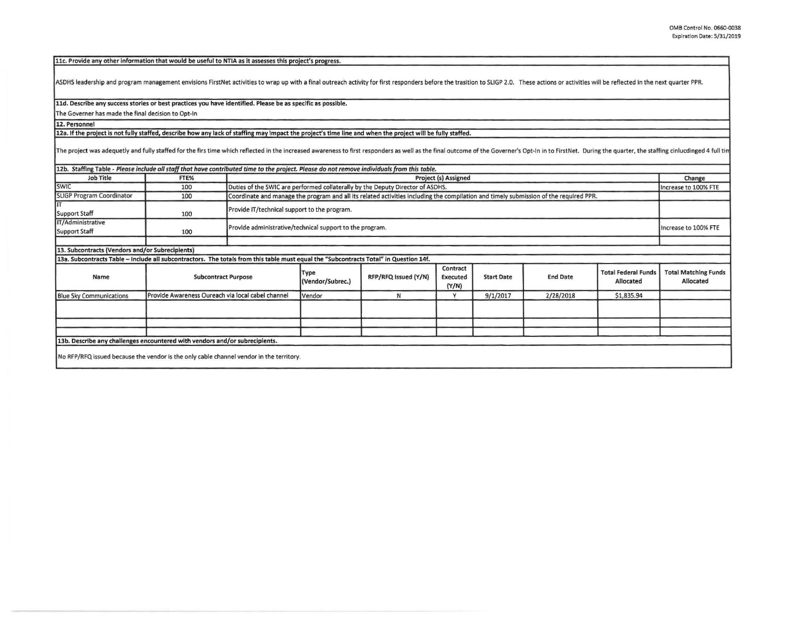11c. Provide any other information that would be useful to NTIA as it assesses this project's progress.

ASDHS leadership and program management envisions FirstNet activities to wrap up with a final outreach activity for first responders before the trasition to SLIGP 2.0. These actions or activities will be reflected in the n

11d. Describe any success stories or best practices you have identified. Please be as specific as possible.

The Governer has made the final decision to Opt-In

**12. Personnel** 

12a. If the project is not fully staffed, describe how any lack of staffing may impact the project's time line and when the project will be fully staffed.

The project was adequetly and fully staffed for the firs time which reflected in the increased awareness to first responders as well as the final outcome of the Governer's Opt-In in to FirstNet. During the quarter, the sta

| <b>Job Title</b>                                                                                                                      | FTE%                       |                                                   | 12b. Staffing Table - Please include all staff that have contributed time to the project. Please do not remove individuals from this table. |                      |                               |                   |                 |                                        |                                          |
|---------------------------------------------------------------------------------------------------------------------------------------|----------------------------|---------------------------------------------------|---------------------------------------------------------------------------------------------------------------------------------------------|----------------------|-------------------------------|-------------------|-----------------|----------------------------------------|------------------------------------------|
|                                                                                                                                       |                            |                                                   | <b>Project (s) Assigned</b>                                                                                                                 |                      |                               |                   |                 |                                        | Change                                   |
| <b>SWIC</b>                                                                                                                           | 100                        |                                                   | Duties of the SWIC are performed collaterally by the Deputy Director of ASDHS.                                                              |                      |                               |                   |                 |                                        | Increase to 100% FTE                     |
| <b>SLIGP Program Coordinator</b>                                                                                                      | 100                        |                                                   | Coordinate and manage the program and all its related activities including the compilation and timely submission of the required PPR.       |                      |                               |                   |                 |                                        |                                          |
| Support Staff                                                                                                                         | 100                        |                                                   | Provide IT/technical support to the program.                                                                                                |                      |                               |                   |                 |                                        |                                          |
| IT/Administrative                                                                                                                     |                            |                                                   |                                                                                                                                             |                      |                               |                   |                 |                                        |                                          |
| Support Staff                                                                                                                         | 100                        |                                                   | Provide administrative/technical support to the program.                                                                                    |                      |                               |                   |                 | Increase to 100% FTE                   |                                          |
|                                                                                                                                       |                            |                                                   |                                                                                                                                             |                      |                               |                   |                 |                                        |                                          |
| 13. Subcontracts (Vendors and/or Subrecipients)                                                                                       |                            |                                                   |                                                                                                                                             |                      |                               |                   |                 |                                        |                                          |
| 13a. Subcontracts Table - Include all subcontractors. The totals from this table must equal the "Subcontracts Total" in Question 14f. |                            |                                                   |                                                                                                                                             |                      |                               |                   |                 |                                        |                                          |
| Name                                                                                                                                  | <b>Subcontract Purpose</b> |                                                   | Type<br>(Vendor/Subrec.)                                                                                                                    | RFP/RFQ Issued (Y/N) | Contract<br>Executed<br>(Y/N) | <b>Start Date</b> | <b>End Date</b> | <b>Total Federal Fund</b><br>Allocated | <b>Total Matching Funds</b><br>Allocated |
| <b>Blue Sky Communications</b>                                                                                                        |                            | Provide Awareness Oureach via local cabel channel | Vendor                                                                                                                                      | N                    | Y                             | 9/1/2017          | 2/28/2018       | \$1,835.94                             |                                          |
|                                                                                                                                       |                            |                                                   |                                                                                                                                             |                      |                               |                   |                 |                                        |                                          |
|                                                                                                                                       |                            |                                                   |                                                                                                                                             |                      |                               |                   |                 |                                        |                                          |
|                                                                                                                                       |                            |                                                   |                                                                                                                                             |                      |                               |                   |                 |                                        |                                          |
| 13b. Describe any challenges encountered with vendors and/or subrecipients.                                                           |                            |                                                   |                                                                                                                                             |                      |                               |                   |                 |                                        |                                          |
| No RFP/RFQ issued because the vendor is the only cable channel vendor in the territory.                                               |                            |                                                   |                                                                                                                                             |                      |                               |                   |                 |                                        |                                          |